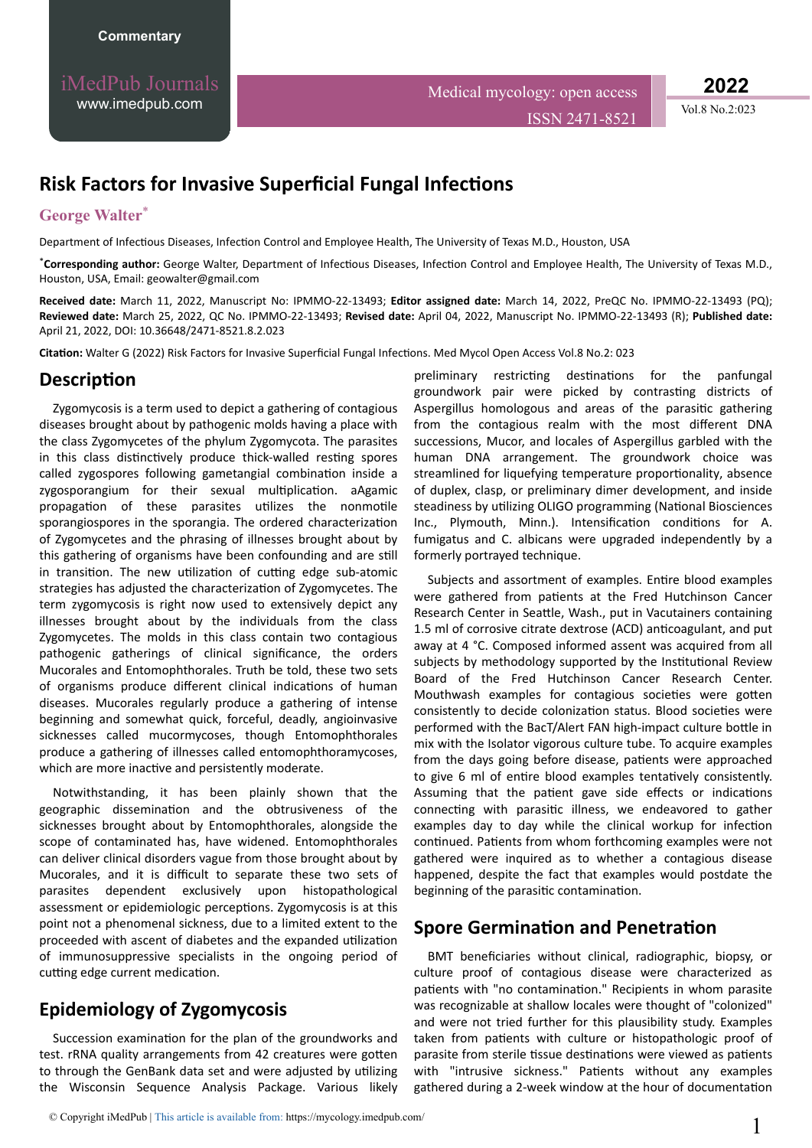iMedPub Journals [www.imedpub.com](http://www.imedpub.com/)

**2022**

# **Risk Factors for Invasive Superficial Fungal Infections**

#### **George Walter**\*

Department of Infectious Diseases, Infection Control and Employee Health, The University of Texas M.D., Houston, USA

\*Corresponding author: George Walter, Department of Infectious Diseases, Infection Control and Employee Health, The University of Texas M.D., Houston, USA, Email: geowalter@gmail.com

**Received date:** March 11, 2022, Manuscript No: IPMMO-22-13493; **Editor assigned date:** March 14, 2022, PreQC No. IPMMO-22-13493 (PQ); **Reviewed date:** March 25, 2022, QC No. IPMMO-22-13493; **Revised date:** April 04, 2022, Manuscript No. IPMMO-22-13493 (R); **Published date:** April 21, 2022, DOI: 10.36648/2471-8521.8.2.023

**Citation:** Walter G (2022) Risk Factors for Invasive Superficial Fungal Infections. Med Mycol Open Access Vol.8 No.2: 023

#### **Description**

Zygomycosis is a term used to depict a gathering of contagious diseases brought about by pathogenic molds having a place with the class Zygomycetes of the phylum Zygomycota. The parasites in this class distinctively produce thick-walled resting spores called zygospores following gametangial combination inside a zygosporangium for their sexual multiplication. aAgamic propagation of these parasites utilizes the nonmotile sporangiospores in the sporangia. The ordered characterization of Zygomycetes and the phrasing of illnesses brought about by this gathering of organisms have been confounding and are still in transition. The new utilization of cutting edge sub-atomic strategies has adjusted the characterization of Zygomycetes. The term zygomycosis is right now used to extensively depict any illnesses brought about by the individuals from the class Zygomycetes. The molds in this class contain two contagious pathogenic gatherings of clinical significance, the orders Mucorales and Entomophthorales. Truth be told, these two sets of organisms produce different clinical indications of human diseases. Mucorales regularly produce a gathering of intense beginning and somewhat quick, forceful, deadly, angioinvasive sicknesses called mucormycoses, though Entomophthorales produce a gathering of illnesses called entomophthoramycoses, which are more inactive and persistently moderate.

Notwithstanding, it has been plainly shown that the geographic dissemination and the obtrusiveness of the sicknesses brought about by Entomophthorales, alongside the scope of contaminated has, have widened. Entomophthorales can deliver clinical disorders vague from those brought about by Mucorales, and it is difficult to separate these two sets of parasites dependent exclusively upon histopathological assessment or epidemiologic perceptions. Zygomycosis is at this point not a phenomenal sickness, due to a limited extent to the proceeded with ascent of diabetes and the expanded utilization of immunosuppressive specialists in the ongoing period of cutting edge current medication.

## **Epidemiology of Zygomycosis**

Succession examination for the plan of the groundworks and test. rRNA quality arrangements from 42 creatures were gotten to through the GenBank data set and were adjusted by utilizing the Wisconsin Sequence Analysis Package. Various likely preliminary restricting destinations for the panfungal groundwork pair were picked by contrasting districts of Aspergillus homologous and areas of the parasitic gathering from the contagious realm with the most different DNA successions, Mucor, and locales of Aspergillus garbled with the human DNA arrangement. The groundwork choice was streamlined for liquefying temperature proportionality, absence of duplex, clasp, or preliminary dimer development, and inside steadiness by utilizing OLIGO programming (National Biosciences Inc., Plymouth, Minn.). Intensification conditions for A. fumigatus and C. albicans were upgraded independently by a formerly portrayed technique.

Subjects and assortment of examples. Entire blood examples were gathered from patients at the Fred Hutchinson Cancer Research Center in Seattle, Wash., put in Vacutainers containing 1.5 ml of corrosive citrate dextrose (ACD) anticoagulant, and put away at 4 °C. Composed informed assent was acquired from all subjects by methodology supported by the Institutional Review Board of the Fred Hutchinson Cancer Research Center. Mouthwash examples for contagious societies were gotten consistently to decide colonization status. Blood societies were performed with the BacT/Alert FAN high-impact culture bottle in mix with the Isolator vigorous culture tube. To acquire examples from the days going before disease, patients were approached to give 6 ml of entire blood examples tentatively consistently. Assuming that the patient gave side effects or indications connecting with parasitic illness, we endeavored to gather examples day to day while the clinical workup for infection continued. Patients from whom forthcoming examples were not gathered were inquired as to whether a contagious disease happened, despite the fact that examples would postdate the beginning of the parasitic contamination.

### **Spore Germination and Penetration**

BMT beneficiaries without clinical, radiographic, biopsy, or culture proof of contagious disease were characterized as patients with "no contamination." Recipients in whom parasite was recognizable at shallow locales were thought of "colonized" and were not tried further for this plausibility study. Examples taken from patients with culture or histopathologic proof of parasite from sterile tissue destinations were viewed as patients with "intrusive sickness." Patients without any examples gathered during a 2-week window at the hour of documentation